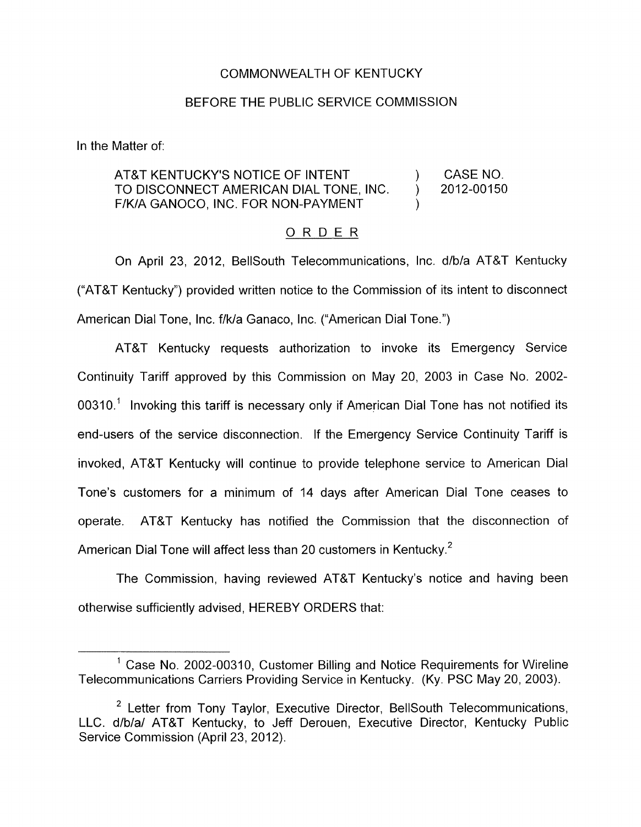## COMMONWEALTH OF KENTUCKY

### BEFORE THE PUBLIC SERVICE COMMISSION

In the Matter of:

#### AT&T KENTUCKY'S NOTICE OF INTENT (AT&T KENTUCKY'S NOTICE OF INTENT F/K/A GANOCO, INC. FOR NON-PAYMENT TO DISCONNECT AMERICAN DIAL TONE, INC. ) 2012-00150 )

## ORDER

On April 23, 2012, BellSouth Telecommunications, Inc. d/b/a AT&T Kentucky ("AT&T Kentucky") provided written notice to the Commission of its intent to disconnect American Dial Tone, Inc. f/k/a Ganaco, Inc. ("American Dial Tone.")

AT&T Kentucky requests authorization to invoke its Emergency Service Continuity Tariff approved by this Commission on May 20, 2003 in Case No. 2002- 00310.' Invoking this tariff is necessary only if American Dial Tone has not notified its end-users of the service disconnection. If the Emergency Service Continuity Tariff is invoked, AT&T Kentucky will continue to provide telephone service to American Dial Tone's customers for a minimum of 14 days after American Dial Tone ceases to operate. AT&T Kentucky has notified the Commission that the disconnection of American Dial Tone will affect less than 20 customers in Kentucky.<sup>2</sup>

The Commission, having reviewed AT&T Kentucky's notice and having been otherwise sufficiently advised, HEREBY ORDERS that:

 $<sup>1</sup>$  Case No. 2002-00310, Customer Billing and Notice Requirements for Wireline</sup> Telecommunications Carriers Providing Service in Kentucky. (Ky. PSC May 20, 2003).

 $2$  Letter from Tony Taylor, Executive Director, BellSouth Telecommunications, LLC. d/b/a/ AT&T Kentucky, to Jeff Derouen, Executive Director, Kentucky Public Service Commission (April 23, 2012).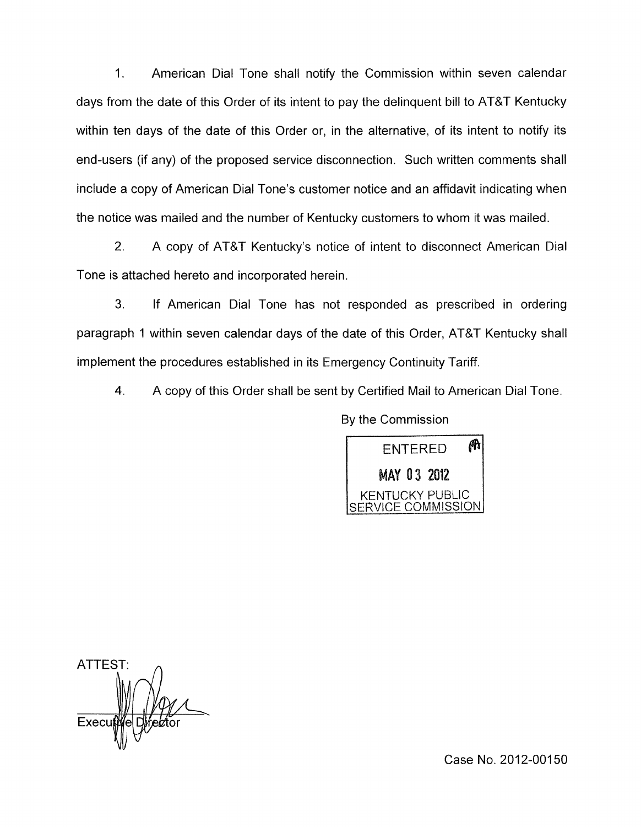1. American Dial Tone shall notify the Commission within seven calendar days from the date of this Order of its intent to pay the delinquent bill to AT&T Kentucky within ten days of the date of this Order or, in the alternative, of its intent to notify its end-users (if any) of the proposed service disconnection. Such written comments shall include a copy of American Dial Tone's customer notice and an affidavit indicating when the notice was mailed and the number of Kentucky customers to whom it was mailed.

2. A copy of AT&T Kentucky's notice of intent to disconnect American Dial Tone is attached hereto and incorporated herein.

3. If American Dial Tone has not responded as prescribed in ordering paragraph 1 within seven calendar days of the date of this Order, AT&T Kentucky shall implement the procedures established in its Emergency Continuity Tariff.

**4.** A copy of this Order shall be sent by Certified Mail to American Dial Tone.

By the Commission



ATTEST: Execu

Case No. 2012-00150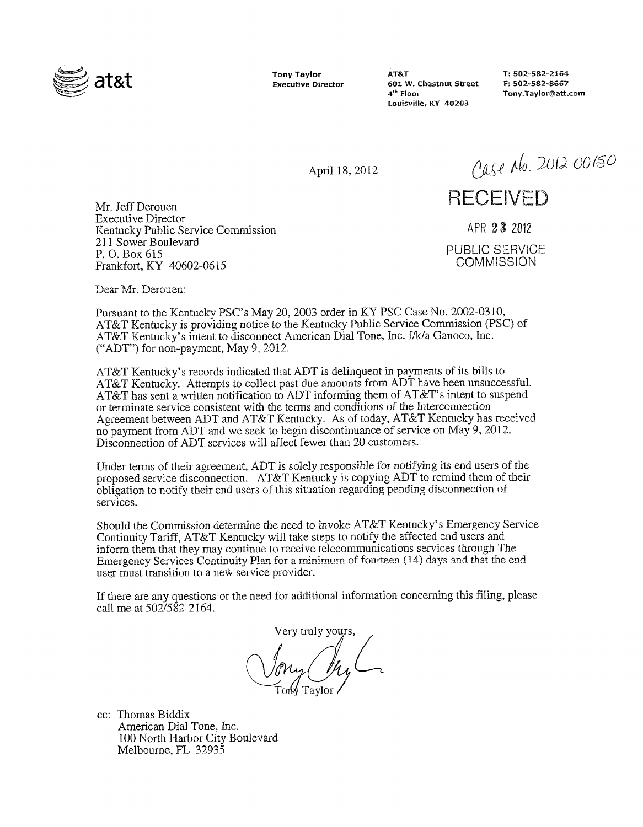

**Tony Taylor Executive Director**  **AT&T T: 502-582-2164 601 W. Chestnut Street**  $4^{\text{th}}$  Floor **Louisville, KY 40203** 

**4'h Floor [Tony.Taylor@att.com](mailto:Tony.Taylor@att.com)** 

April 18,2012

Case No. 2012-00150

# **RECEIVED**

APR 23 <sup>2012</sup> PUBLIC SERVICE COMMISSION

Mr. Jeff Derouen Executive Director Kentucky Public Service Commission 21 1 Sower Boulevard P. *0.* Box 615 Frankfort, KY 40602-06 15

Dear Mr. Derouen:

Pursuant to the Kentucky PSC's May 20,2003 order in KY PSC Case No. 2002-0310, AT&T Kentucky is providing notice to the Kentucky Public Service Commission (PSC) of AT&T Kentucky's intent to disconnect American Dial Tone, Inc. f/k/a Ganoco, Inc. ("ADT") for non-payment, May 9,2012.

AT&T Kentucky's records indicated that ADT is delinquent in payments of its bills to AT&T Kentucky. Attempts to collect past due amounts from ADT have been unsuccessful. AT&T has sent a written notification to ADT informing them of AT&T's intent to suspend or terminate service consistent with the terms and conditions of the Interconnection Agreement between ADT and AT&T Kentucky. As of today, AT&T Kentucky has received no payment from ADT and we seek to begin discontinuance of service on May 9, 2012. Disconnection of ADT services will affect fewer than 20 customers.

Under terms of their agreement, ADT is solely responsible for notifying its end users of the proposed service disconnection. AT&T Kentucky is copying ADT to remind them of their obligation to notify their end users of this situation regarding pending disconnection of services.

Should the Commission deterrnine the need to invoke AT&T Kentucky's Emergency Service Continuity Tariff, AT&T Kentucky will take steps to notify the affected end users and inform them that they may continue to receive telecommunications services through The Emergency Services Continuity Plan for a minimum of fourteen (14) days and that the end user must transition to a new service provider.

**Tf** there are any questions or the need for additional information concerning this filing, please call me at 502/582-2164.

Very truly yours, Taylor.

cc: Thomas Biddix American Dial Tone, hc. 100 North Harbor City Boulevard Melbourne, FL 32935